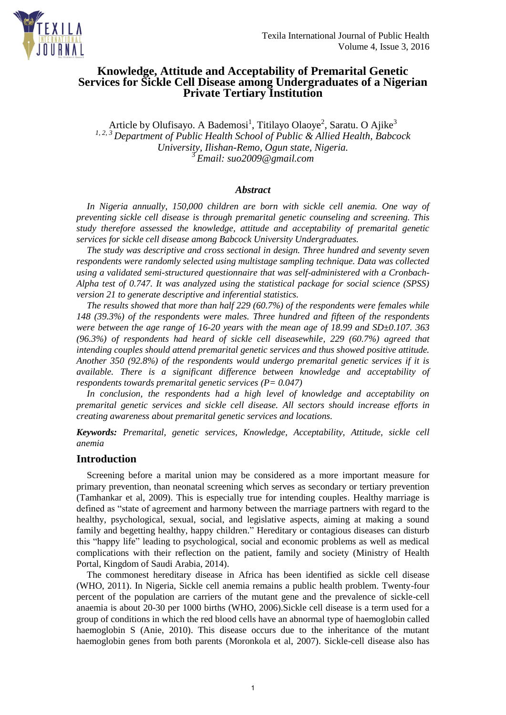

# **Knowledge, Attitude and Acceptability of Premarital Genetic Services for Sickle Cell Disease among Undergraduates of a Nigerian Private Tertiary Institution**

Article by Olufisayo. A Bademosi<sup>1</sup>, Titilayo Olaoye<sup>2</sup>, Saratu. O Ajike<sup>3</sup> *1, 2, 3 Department of Public Health School of Public & Allied Health, Babcock University, Ilishan-Remo, Ogun state, Nigeria.*  <sup>3</sup>*Email: suo2009@gmail.com*

#### *Abstract*

In Nigeria annually, 150,000 children are born with sickle cell anemia. One way of *preventing sickle cell disease is through premarital genetic counseling and screening. This study therefore assessed the knowledge, attitude and acceptability of premarital genetic services for sickle cell disease among Babcock University Undergraduates.* 

*The study was descriptive and cross sectional in design. Three hundred and seventy seven respondents were randomly selected using multistage sampling technique. Data was collected using a validated semi-structured questionnaire that was self-administered with a Cronbach-Alpha test of 0.747. It was analyzed using the statistical package for social science (SPSS) version 21 to generate descriptive and inferential statistics.* 

*The results showed that more than half 229 (60.7%) of the respondents were females while 148 (39.3%) of the respondents were males. Three hundred and fifteen of the respondents were between the age range of 16-20 years with the mean age of 18.99 and SD±0.107. 363 (96.3%) of respondents had heard of sickle cell diseasewhile, 229 (60.7%) agreed that intending couples should attend premarital genetic services and thus showed positive attitude. Another 350 (92.8%) of the respondents would undergo premarital genetic services if it is available. There is a significant difference between knowledge and acceptability of respondents towards premarital genetic services (P= 0.047)* 

*In conclusion, the respondents had a high level of knowledge and acceptability on premarital genetic services and sickle cell disease. All sectors should increase efforts in creating awareness about premarital genetic services and locations.* 

*Keywords: Premarital, genetic services, Knowledge, Acceptability, Attitude, sickle cell anemia* 

#### **Introduction**

Screening before a marital union may be considered as a more important measure for primary prevention, than neonatal screening which serves as secondary or tertiary prevention (Tamhankar et al, 2009). This is especially true for intending couples. Healthy marriage is defined as "state of agreement and harmony between the marriage partners with regard to the healthy, psychological, sexual, social, and legislative aspects, aiming at making a sound family and begetting healthy, happy children." Hereditary or contagious diseases can disturb this "happy life" leading to psychological, social and economic problems as well as medical complications with their reflection on the patient, family and society (Ministry of Health Portal, Kingdom of Saudi Arabia, 2014).

The commonest hereditary disease in Africa has been identified as sickle cell disease (WHO, 2011). In Nigeria, Sickle cell anemia remains a public health problem. Twenty-four percent of the population are carriers of the mutant gene and the prevalence of sickle-cell anaemia is about 20-30 per 1000 births (WHO, 2006).Sickle cell disease is a term used for a group of conditions in which the red blood cells have an abnormal type of haemoglobin called haemoglobin S (Anie, 2010). This disease occurs due to the inheritance of the mutant haemoglobin genes from both parents (Moronkola et al, 2007). Sickle-cell disease also has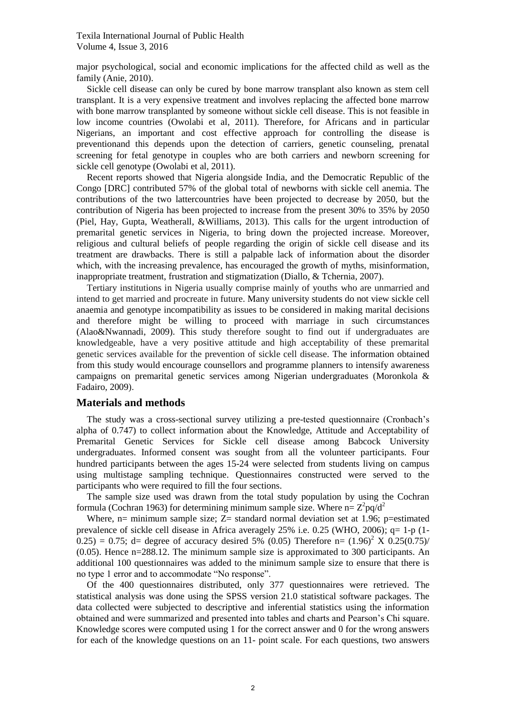major psychological, social and economic implications for the affected child as well as the family (Anie, 2010).

Sickle cell disease can only be cured by bone marrow transplant also known as stem cell transplant. It is a very expensive treatment and involves replacing the affected bone marrow with bone marrow transplanted by someone without sickle cell disease. This is not feasible in low income countries (Owolabi et al, 2011). Therefore, for Africans and in particular Nigerians, an important and cost effective approach for controlling the disease is preventionand this depends upon the detection of carriers, genetic counseling, prenatal screening for fetal genotype in couples who are both carriers and newborn screening for sickle cell genotype (Owolabi et al, 2011).

Recent reports showed that Nigeria alongside India, and the Democratic Republic of the Congo [DRC] contributed 57% of the global total of newborns with sickle cell anemia. The contributions of the two lattercountries have been projected to decrease by 2050, but the contribution of Nigeria has been projected to increase from the present 30% to 35% by 2050 (Piel, Hay, Gupta, Weatherall, &Williams, 2013). This calls for the urgent introduction of premarital genetic services in Nigeria, to bring down the projected increase. Moreover, religious and cultural beliefs of people regarding the origin of sickle cell disease and its treatment are drawbacks. There is still a palpable lack of information about the disorder which, with the increasing prevalence, has encouraged the growth of myths, misinformation, inappropriate treatment, frustration and stigmatization (Diallo, & Tchernia, 2007).

Tertiary institutions in Nigeria usually comprise mainly of youths who are unmarried and intend to get married and procreate in future. Many university students do not view sickle cell anaemia and genotype incompatibility as issues to be considered in making marital decisions and therefore might be willing to proceed with marriage in such circumstances (Alao&Nwannadi, 2009). This study therefore sought to find out if undergraduates are knowledgeable, have a very positive attitude and high acceptability of these premarital genetic services available for the prevention of sickle cell disease. The information obtained from this study would encourage counsellors and programme planners to intensify awareness campaigns on premarital genetic services among Nigerian undergraduates (Moronkola & Fadairo, 2009).

#### **Materials and methods**

The study was a cross-sectional survey utilizing a pre-tested questionnaire (Cronbach's alpha of 0.747) to collect information about the Knowledge, Attitude and Acceptability of Premarital Genetic Services for Sickle cell disease among Babcock University undergraduates. Informed consent was sought from all the volunteer participants. Four hundred participants between the ages 15-24 were selected from students living on campus using multistage sampling technique. Questionnaires constructed were served to the participants who were required to fill the four sections.

The sample size used was drawn from the total study population by using the Cochran formula (Cochran 1963) for determining minimum sample size. Where  $n = Z^2 pq/d^2$ 

Where,  $n=$  minimum sample size;  $Z=$  standard normal deviation set at 1.96; p=estimated prevalence of sickle cell disease in Africa averagely 25% i.e. 0.25 (WHO, 2006); q= 1-p (1-  $(0.25) = 0.75$ ; d= degree of accuracy desired 5% (0.05) Therefore n=  $(1.96)^2$  X  $(0.25(0.75))$ (0.05). Hence n=288.12. The minimum sample size is approximated to 300 participants. An additional 100 questionnaires was added to the minimum sample size to ensure that there is no type 1 error and to accommodate "No response".

Of the 400 questionnaires distributed, only 377 questionnaires were retrieved. The statistical analysis was done using the SPSS version 21.0 statistical software packages. The data collected were subjected to descriptive and inferential statistics using the information obtained and were summarized and presented into tables and charts and Pearson's Chi square. Knowledge scores were computed using 1 for the correct answer and 0 for the wrong answers for each of the knowledge questions on an 11- point scale. For each questions, two answers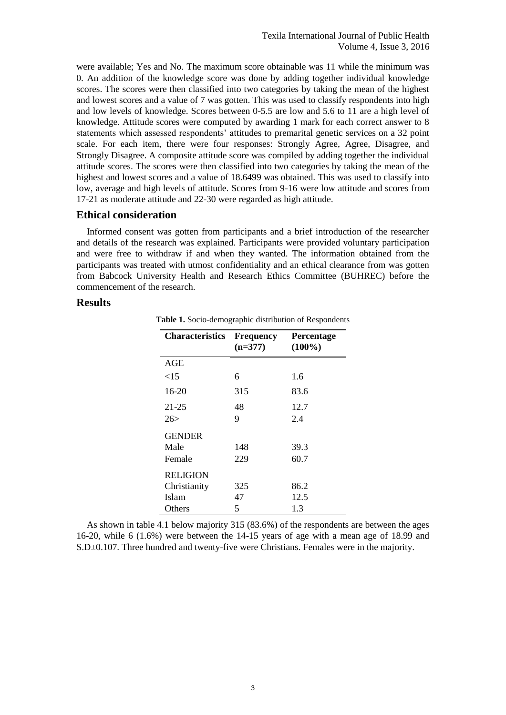were available; Yes and No. The maximum score obtainable was 11 while the minimum was 0. An addition of the knowledge score was done by adding together individual knowledge scores. The scores were then classified into two categories by taking the mean of the highest and lowest scores and a value of 7 was gotten. This was used to classify respondents into high and low levels of knowledge. Scores between 0-5.5 are low and 5.6 to 11 are a high level of knowledge. Attitude scores were computed by awarding 1 mark for each correct answer to 8 statements which assessed respondents' attitudes to premarital genetic services on a 32 point scale. For each item, there were four responses: Strongly Agree, Agree, Disagree, and Strongly Disagree. A composite attitude score was compiled by adding together the individual attitude scores. The scores were then classified into two categories by taking the mean of the highest and lowest scores and a value of 18.6499 was obtained. This was used to classify into low, average and high levels of attitude. Scores from 9-16 were low attitude and scores from 17-21 as moderate attitude and 22-30 were regarded as high attitude.

## **Ethical consideration**

Informed consent was gotten from participants and a brief introduction of the researcher and details of the research was explained. Participants were provided voluntary participation and were free to withdraw if and when they wanted. The information obtained from the participants was treated with utmost confidentiality and an ethical clearance from was gotten from Babcock University Health and Research Ethics Committee (BUHREC) before the commencement of the research.

## **Results**

| <b>Characteristics</b> | <b>Frequency</b><br>$(n=377)$ | Percentage<br>$(100\%)$ |
|------------------------|-------------------------------|-------------------------|
| <b>AGE</b>             |                               |                         |
| <15                    | 6                             | 1.6                     |
| 16-20                  | 315                           | 83.6                    |
| 21-25                  | 48                            | 12.7                    |
| 26>                    | 9                             | 2.4                     |
| <b>GENDER</b>          |                               |                         |
| Male                   | 148                           | 39.3                    |
| Female                 | 229                           | 60.7                    |
| <b>RELIGION</b>        |                               |                         |
| Christianity           | 325                           | 86.2                    |
| Islam                  | 47                            | 12.5                    |
| Others                 | 5                             | 1.3                     |

**Table 1.** Socio-demographic distribution of Respondents

As shown in table 4.1 below majority 315 (83.6%) of the respondents are between the ages 16-20, while 6 (1.6%) were between the 14-15 years of age with a mean age of 18.99 and S.D±0.107. Three hundred and twenty-five were Christians. Females were in the majority.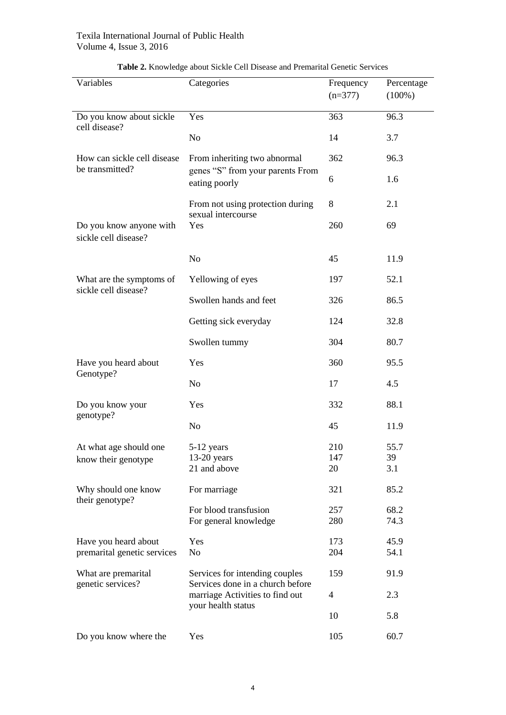| Variables                                       | Categories                                                         | Frequency<br>$(n=377)$ | Percentage<br>$(100\%)$ |
|-------------------------------------------------|--------------------------------------------------------------------|------------------------|-------------------------|
| Do you know about sickle                        | Yes                                                                | 363                    | 96.3                    |
| cell disease?                                   | N <sub>o</sub>                                                     | 14                     | 3.7                     |
| How can sickle cell disease                     | From inheriting two abnormal                                       | 362                    | 96.3                    |
| be transmitted?                                 | genes "S" from your parents From<br>eating poorly                  | 6                      | 1.6                     |
|                                                 | From not using protection during<br>sexual intercourse             | 8                      | 2.1                     |
| Do you know anyone with<br>sickle cell disease? | Yes                                                                | 260                    | 69                      |
|                                                 | N <sub>o</sub>                                                     | 45                     | 11.9                    |
| What are the symptoms of                        | Yellowing of eyes                                                  | 197                    | 52.1                    |
| sickle cell disease?                            | Swollen hands and feet                                             | 326                    | 86.5                    |
|                                                 | Getting sick everyday                                              | 124                    | 32.8                    |
|                                                 | Swollen tummy                                                      | 304                    | 80.7                    |
| Have you heard about                            | Yes                                                                | 360                    | 95.5                    |
| Genotype?                                       | N <sub>o</sub>                                                     | 17                     | 4.5                     |
| Do you know your<br>genotype?                   | Yes                                                                | 332                    | 88.1                    |
|                                                 | N <sub>o</sub>                                                     | 45                     | 11.9                    |
| At what age should one                          | 5-12 years                                                         | 210                    | 55.7                    |
| know their genotype                             | $13-20$ years<br>21 and above                                      | 147<br>20              | 39<br>3.1               |
| Why should one know                             | For marriage                                                       | 321                    | 85.2                    |
| their genotype?                                 | For blood transfusion<br>For general knowledge                     | 257<br>280             | 68.2<br>74.3            |
| Have you heard about                            | Yes                                                                | 173                    | 45.9                    |
| premarital genetic services                     | No                                                                 | 204                    | 54.1                    |
| What are premarital<br>genetic services?        | Services for intending couples<br>Services done in a church before | 159                    | 91.9                    |
|                                                 | marriage Activities to find out<br>your health status              | 4                      | 2.3                     |
|                                                 |                                                                    | 10                     | 5.8                     |
| Do you know where the                           | Yes                                                                | 105                    | 60.7                    |

# **Table 2.** Knowledge about Sickle Cell Disease and Premarital Genetic Services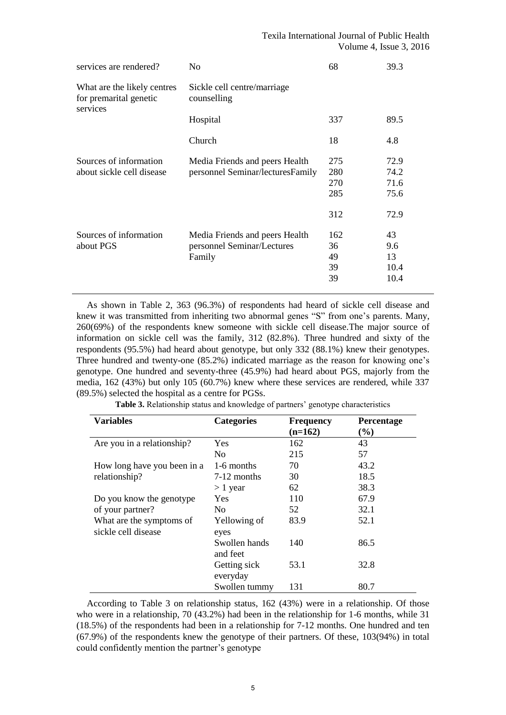| services are rendered?                                            | No                                                                     | 68                              | 39.3                                 |  |
|-------------------------------------------------------------------|------------------------------------------------------------------------|---------------------------------|--------------------------------------|--|
| What are the likely centres<br>for premarital genetic<br>services | Sickle cell centre/marriage<br>counselling                             |                                 |                                      |  |
|                                                                   | Hospital                                                               | 337                             | 89.5                                 |  |
|                                                                   | Church                                                                 | 18                              | 4.8                                  |  |
| Sources of information<br>about sickle cell disease               | Media Friends and peers Health<br>personnel Seminar/lecturesFamily     | 275<br>280<br>270<br>285<br>312 | 72.9<br>74.2<br>71.6<br>75.6<br>72.9 |  |
| Sources of information<br>about PGS                               | Media Friends and peers Health<br>personnel Seminar/Lectures<br>Family | 162<br>36<br>49<br>39<br>39     | 43<br>9.6<br>13<br>10.4<br>10.4      |  |

As shown in Table 2, 363 (96.3%) of respondents had heard of sickle cell disease and knew it was transmitted from inheriting two abnormal genes "S" from one's parents. Many, 260(69%) of the respondents knew someone with sickle cell disease.The major source of information on sickle cell was the family, 312 (82.8%). Three hundred and sixty of the respondents (95.5%) had heard about genotype, but only 332 (88.1%) knew their genotypes. Three hundred and twenty-one (85.2%) indicated marriage as the reason for knowing one's genotype. One hundred and seventy-three (45.9%) had heard about PGS, majorly from the media, 162 (43%) but only 105 (60.7%) knew where these services are rendered, while 337 (89.5%) selected the hospital as a centre for PGSs.

| <b>Variables</b>            | <b>Categories</b> | <b>Frequency</b> | Percentage |
|-----------------------------|-------------------|------------------|------------|
|                             |                   | $(n=162)$        | $(\%)$     |
| Are you in a relationship?  | Yes               | 162              | 43         |
|                             | N <sub>0</sub>    | 215              | 57         |
| How long have you been in a | 1-6 months        | 70               | 43.2       |
| relationship?               | 7-12 months       | 30               | 18.5       |
|                             | $> 1$ year        | 62               | 38.3       |
| Do you know the genotype    | Yes.              | 110              | 67.9       |
| of your partner?            | No.               | 52               | 32.1       |
| What are the symptoms of    | Yellowing of      | 83.9             | 52.1       |
| sickle cell disease         | eyes              |                  |            |
|                             | Swollen hands     | 140              | 86.5       |
|                             | and feet          |                  |            |
|                             | Getting sick      | 53.1             | 32.8       |
|                             | everyday          |                  |            |
|                             | Swollen tummy     | 131              | 80.7       |

**Table 3.** Relationship status and knowledge of partners' genotype characteristics

According to Table 3 on relationship status, 162 (43%) were in a relationship. Of those who were in a relationship, 70 (43.2%) had been in the relationship for 1-6 months, while 31 (18.5%) of the respondents had been in a relationship for 7-12 months. One hundred and ten (67.9%) of the respondents knew the genotype of their partners. Of these, 103(94%) in total could confidently mention the partner's genotype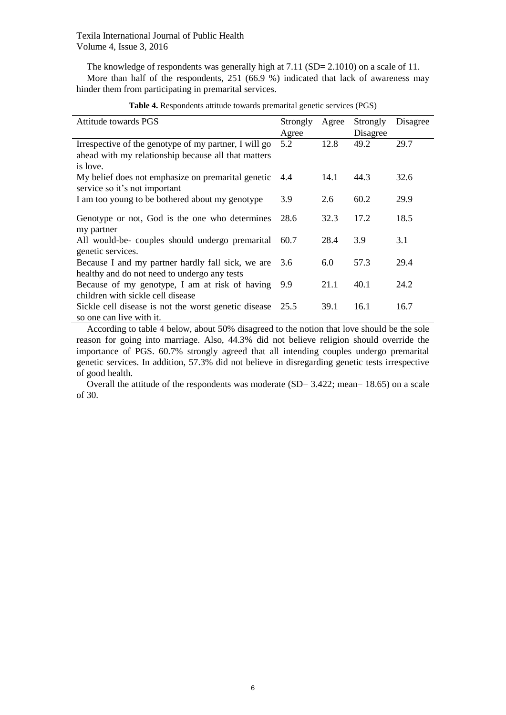The knowledge of respondents was generally high at 7.11 (SD= 2.1010) on a scale of 11. More than half of the respondents, 251 (66.9 %) indicated that lack of awareness may hinder them from participating in premarital services.

| Attitude towards PGS                                                                                                     | Strongly | Agree | Strongly | Disagree |
|--------------------------------------------------------------------------------------------------------------------------|----------|-------|----------|----------|
|                                                                                                                          | Agree    |       | Disagree |          |
| Irrespective of the genotype of my partner, I will go<br>ahead with my relationship because all that matters<br>is love. | 5.2      | 12.8  | 49.2     | 29.7     |
| My belief does not emphasize on premarital genetic<br>service so it's not important                                      | 4.4      | 14.1  | 44.3     | 32.6     |
| I am too young to be bothered about my genotype                                                                          | 3.9      | 2.6   | 60.2     | 29.9     |
| Genotype or not, God is the one who determines<br>my partner                                                             | 28.6     | 32.3  | 17.2     | 18.5     |
| All would-be- couples should undergo premarital<br>genetic services.                                                     | 60.7     | 28.4  | 3.9      | 3.1      |
| Because I and my partner hardly fall sick, we are<br>healthy and do not need to undergo any tests                        | 3.6      | 6.0   | 57.3     | 29.4     |
| Because of my genotype, I am at risk of having<br>children with sickle cell disease                                      | 9.9      | 21.1  | 40.1     | 24.2     |
| Sickle cell disease is not the worst genetic disease<br>so one can live with it.                                         | 25.5     | 39.1  | 16.1     | 16.7     |

**Table 4.** Respondents attitude towards premarital genetic services (PGS)

According to table 4 below, about 50% disagreed to the notion that love should be the sole reason for going into marriage. Also, 44.3% did not believe religion should override the importance of PGS. 60.7% strongly agreed that all intending couples undergo premarital genetic services. In addition, 57.3% did not believe in disregarding genetic tests irrespective of good health.

Overall the attitude of the respondents was moderate (SD= 3.422; mean= 18.65) on a scale of 30.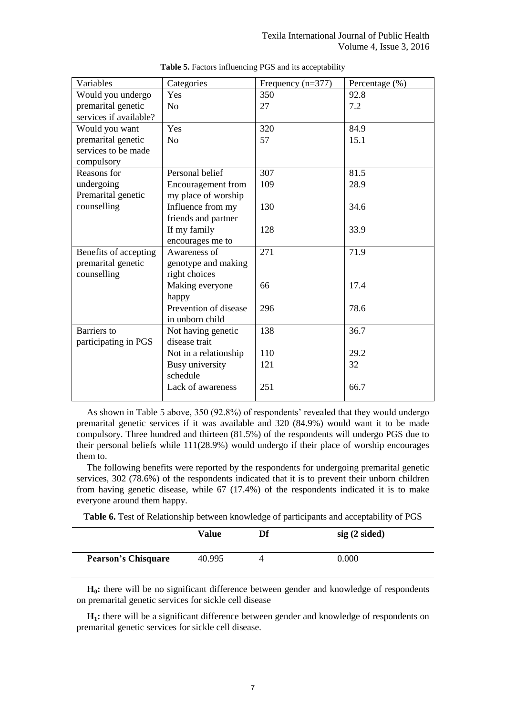| Variables              | Categories                | Frequency $(n=377)$ | Percentage (%) |
|------------------------|---------------------------|---------------------|----------------|
| Would you undergo      | Yes                       | 350                 | 92.8           |
| premarital genetic     | N <sub>o</sub>            | 27                  | 7.2            |
| services if available? |                           |                     |                |
| Would you want         | Yes                       | 320                 | 84.9           |
| premarital genetic     | N <sub>o</sub>            | 57                  | 15.1           |
| services to be made    |                           |                     |                |
| compulsory             |                           |                     |                |
| Reasons for            | Personal belief           | 307                 | 81.5           |
| undergoing             | <b>Encouragement</b> from | 109                 | 28.9           |
| Premarital genetic     | my place of worship       |                     |                |
| counselling            | Influence from my         | 130                 | 34.6           |
|                        | friends and partner       |                     |                |
|                        | If my family              | 128                 | 33.9           |
|                        | encourages me to          |                     |                |
| Benefits of accepting  | Awareness of              | 271                 | 71.9           |
| premarital genetic     | genotype and making       |                     |                |
| counselling            | right choices             |                     |                |
|                        | Making everyone           | 66                  | 17.4           |
|                        | happy                     |                     |                |
|                        | Prevention of disease     | 296                 | 78.6           |
|                        | in unborn child           |                     |                |
| <b>Barriers</b> to     | Not having genetic        | 138                 | 36.7           |
| participating in PGS   | disease trait             |                     |                |
|                        | Not in a relationship     | 110                 | 29.2           |
|                        | Busy university           | 121                 | 32             |
|                        | schedule                  |                     |                |
|                        | Lack of awareness         | 251                 | 66.7           |
|                        |                           |                     |                |

**Table 5.** Factors influencing PGS and its acceptability

As shown in Table 5 above, 350 (92.8%) of respondents' revealed that they would undergo premarital genetic services if it was available and 320 (84.9%) would want it to be made compulsory. Three hundred and thirteen (81.5%) of the respondents will undergo PGS due to their personal beliefs while 111(28.9%) would undergo if their place of worship encourages them to.

The following benefits were reported by the respondents for undergoing premarital genetic services, 302 (78.6%) of the respondents indicated that it is to prevent their unborn children from having genetic disease, while 67 (17.4%) of the respondents indicated it is to make everyone around them happy.

**Table 6.** Test of Relationship between knowledge of participants and acceptability of PGS

|                            | Value  | Df       | $sig(2 \, sided)$ |
|----------------------------|--------|----------|-------------------|
| <b>Pearson's Chisquare</b> | 40.995 | $\Delta$ | $0.000\,$         |

**H0:** there will be no significant difference between gender and knowledge of respondents on premarital genetic services for sickle cell disease

**H1:** there will be a significant difference between gender and knowledge of respondents on premarital genetic services for sickle cell disease.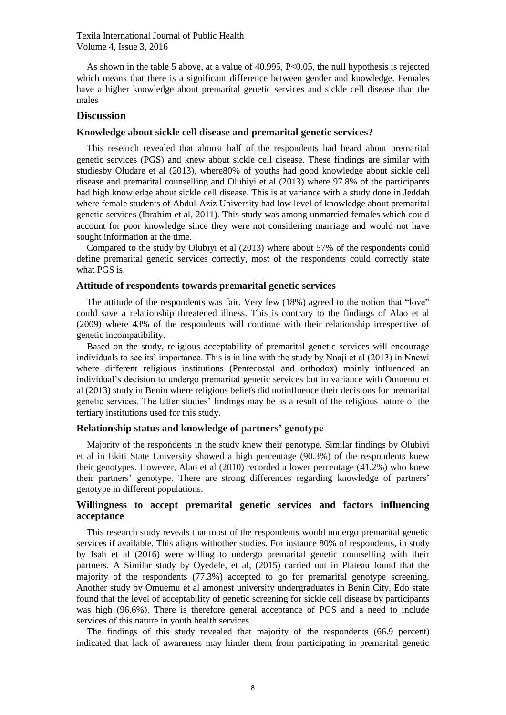As shown in the table 5 above, at a value of 40.995, P<0.05, the null hypothesis is rejected which means that there is a significant difference between gender and knowledge. Females have a higher knowledge about premarital genetic services and sickle cell disease than the males

#### **Discussion**

#### **Knowledge about sickle cell disease and premarital genetic services?**

This research revealed that almost half of the respondents had heard about premarital genetic services (PGS) and knew about sickle cell disease. These findings are similar with studiesby Oludare et al (2013), where80% of youths had good knowledge about sickle cell disease and premarital counselling and Olubiyi et al (2013) where 97.8% of the participants had high knowledge about sickle cell disease. This is at variance with a study done in Jeddah where female students of Abdul-Aziz University had low level of knowledge about premarital genetic services (Ibrahim et al, 2011). This study was among unmarried females which could account for poor knowledge since they were not considering marriage and would not have sought information at the time.

Compared to the study by Olubiyi et al (2013) where about 57% of the respondents could define premarital genetic services correctly, most of the respondents could correctly state what PGS is.

#### **Attitude of respondents towards premarital genetic services**

The attitude of the respondents was fair. Very few (18%) agreed to the notion that "love" could save a relationship threatened illness. This is contrary to the findings of Alao et al (2009) where 43% of the respondents will continue with their relationship irrespective of genetic incompatibility.

Based on the study, religious acceptability of premarital genetic services will encourage individuals to see its' importance. This is in line with the study by Nnaji et al (2013) in Nnewi where different religious institutions (Pentecostal and orthodox) mainly influenced an individual's decision to undergo premarital genetic services but in variance with Omuemu et al (2013) study in Benin where religious beliefs did notinfluence their decisions for premarital genetic services. The latter studies' findings may be as a result of the religious nature of the tertiary institutions used for this study.

## **Relationship status and knowledge of partners' genotype**

Majority of the respondents in the study knew their genotype. Similar findings by Olubiyi et al in Ekiti State University showed a high percentage (90.3%) of the respondents knew their genotypes. However, Alao et al (2010) recorded a lower percentage (41.2%) who knew their partners' genotype. There are strong differences regarding knowledge of partners' genotype in different populations.

#### **Willingness to accept premarital genetic services and factors influencing acceptance**

This research study reveals that most of the respondents would undergo premarital genetic services if available. This aligns withother studies. For instance 80% of respondents, in study by Isah et al (2016) were willing to undergo premarital genetic counselling with their partners. A Similar study by Oyedele, et al, (2015) carried out in Plateau found that the majority of the respondents (77.3%) accepted to go for premarital genotype screening. Another study by Omuemu et al amongst university undergraduates in Benin City, Edo state found that the level of acceptability of genetic screening for sickle cell disease by participants was high (96.6%). There is therefore general acceptance of PGS and a need to include services of this nature in youth health services.

The findings of this study revealed that majority of the respondents (66.9 percent) indicated that lack of awareness may hinder them from participating in premarital genetic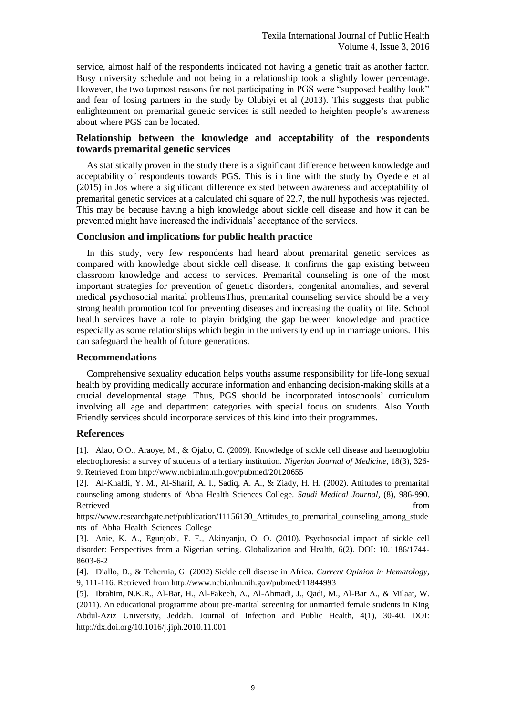service, almost half of the respondents indicated not having a genetic trait as another factor. Busy university schedule and not being in a relationship took a slightly lower percentage. However, the two topmost reasons for not participating in PGS were "supposed healthy look" and fear of losing partners in the study by Olubiyi et al (2013). This suggests that public enlightenment on premarital genetic services is still needed to heighten people's awareness about where PGS can be located.

## **Relationship between the knowledge and acceptability of the respondents towards premarital genetic services**

As statistically proven in the study there is a significant difference between knowledge and acceptability of respondents towards PGS. This is in line with the study by Oyedele et al (2015) in Jos where a significant difference existed between awareness and acceptability of premarital genetic services at a calculated chi square of 22.7, the null hypothesis was rejected. This may be because having a high knowledge about sickle cell disease and how it can be prevented might have increased the individuals' acceptance of the services.

## **Conclusion and implications for public health practice**

In this study, very few respondents had heard about premarital genetic services as compared with knowledge about sickle cell disease. It confirms the gap existing between classroom knowledge and access to services. Premarital counseling is one of the most important strategies for prevention of genetic disorders, congenital anomalies, and several medical psychosocial marital problemsThus, premarital counseling service should be a very strong health promotion tool for preventing diseases and increasing the quality of life. School health services have a role to playin bridging the gap between knowledge and practice especially as some relationships which begin in the university end up in marriage unions. This can safeguard the health of future generations.

## **Recommendations**

Comprehensive sexuality education helps youths assume responsibility for life-long sexual health by providing medically accurate information and enhancing decision-making skills at a crucial developmental stage. Thus, PGS should be incorporated intoschools' curriculum involving all age and department categories with special focus on students. Also Youth Friendly services should incorporate services of this kind into their programmes.

## **References**

[1]. Alao, O.O., Araoye, M., & Ojabo, C. (2009). Knowledge of sickle cell disease and haemoglobin electrophoresis: a survey of students of a tertiary institution. *Nigerian Journal of Medicine,* 18(3), 326- 9. Retrieved from<http://www.ncbi.nlm.nih.gov/pubmed/20120655>

[2]. Al-Khaldi, Y. M., Al-Sharif, A. I., Sadiq, A. A., & Ziady, H. H. (2002). Attitudes to premarital counseling among students of Abha Health Sciences College*. Saudi Medical Journal,* (8), 986-990. Retrieved that the contract of the contract of the contract of the contract of the contract of the contract of the contract of the contract of the contract of the contract of the contract of the contract of the contract of

https://www.researchgate.net/publication/11156130 Attitudes to premarital counseling among stude [nts\\_of\\_Abha\\_Health\\_Sciences\\_College](https://www.researchgate.net/publication/11156130_Attitudes_to_premarital_counseling_among_students_of_Abha_Health_Sciences_College)

[3]. Anie, K. A., Egunjobi, F. E., Akinyanju, O. O. (2010). Psychosocial impact of sickle cell disorder: Perspectives from a Nigerian setting. Globalization and Health, 6(2). DOI: 10.1186/1744- 8603-6-2

[4]. Diallo, D., & Tchernia, G. (2002) Sickle cell disease in Africa. *Current Opinion in Hematology*, 9, 111-116. Retrieved fro[m http://www.ncbi.nlm.nih.gov/pubmed/11844993](http://www.ncbi.nlm.nih.gov/pubmed/11844993)

[5]. Ibrahim, N.K.R., Al-Bar, H., Al-Fakeeh, A., Al-Ahmadi, J., Qadi, M., Al-Bar A., & Milaat, W. (2011). An educational programme about pre-marital screening for unmarried female students in King Abdul-Aziz University, Jeddah. Journal of Infection and Public Health, 4(1), 30-40. DOI: <http://dx.doi.org/10.1016/j.jiph.2010.11.001>